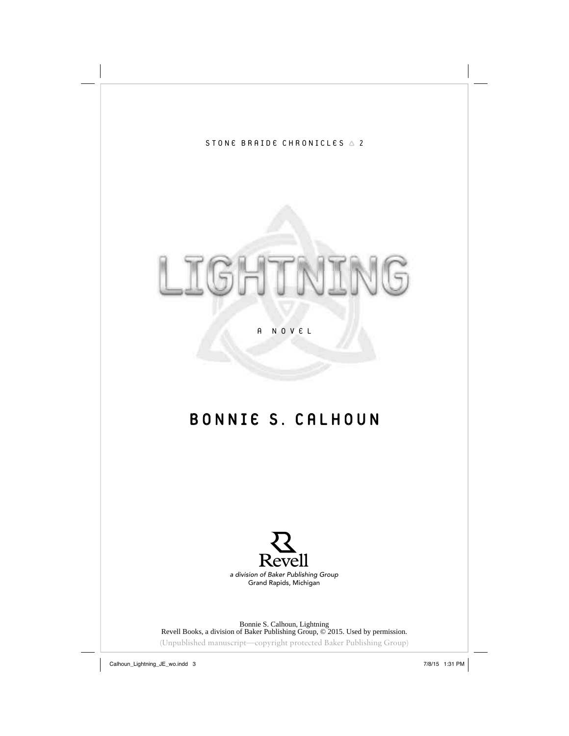STONE BRAIDE CHRONICLES  $\triangle$  2

# LIGHTNI  $\overline{ }$

A NOVEL

## BONNIE S. CALHOUN



(Unpublished manuscript—copyright protected Baker Publishing Group) Bonnie S. Calhoun, Lightning Revell Books, a division of Baker Publishing Group, © 2015. Used by permission.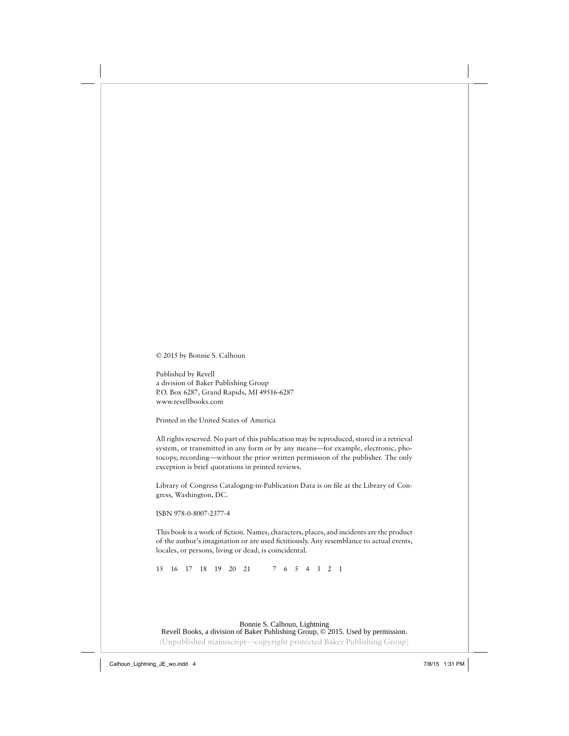© 2015 by Bonnie S. Calhoun

Published by Revell a division of Baker Publishing Group P.O. Box 6287, Grand Rapids, MI 49516-6287 www.revellbooks.com

Printed in the United States of America

All rights reserved. No part of this publication may be reproduced, stored in a retrieval system, or transmitted in any form or by any means—for example, electronic, photocopy, recording—without the prior written permission of the publisher. The only exception is brief quotations in printed reviews.

Library of Congress Cataloging-in-Publication Data is on file at the Library of Congress, Washington, DC.

ISBN 978-0-8007-2377-4

This book is a work of fiction. Names, characters, places, and incidents are the product of the author's imagination or are used fictitiously. Any resemblance to actual events, locales, or persons, living or dead, is coincidental.

15 16 17 18 19 20 21 7 6 5 4 3 2 1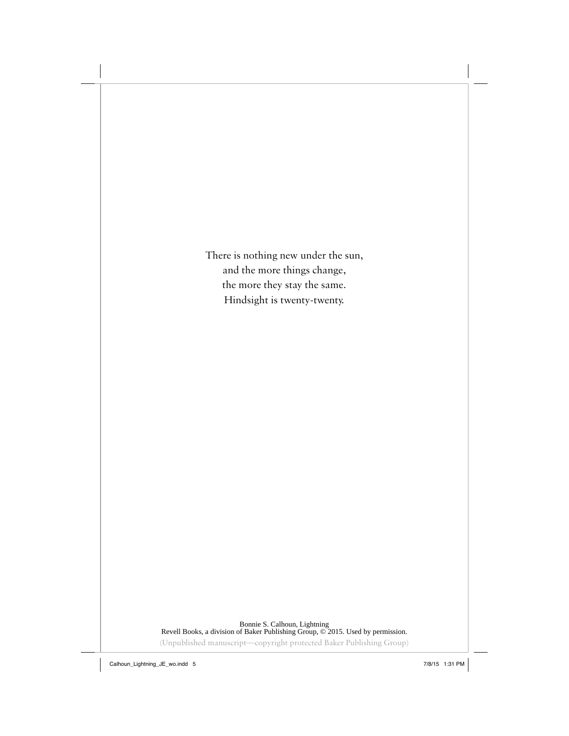There is nothing new under the sun, and the more things change, the more they stay the same. Hindsight is twenty-twenty.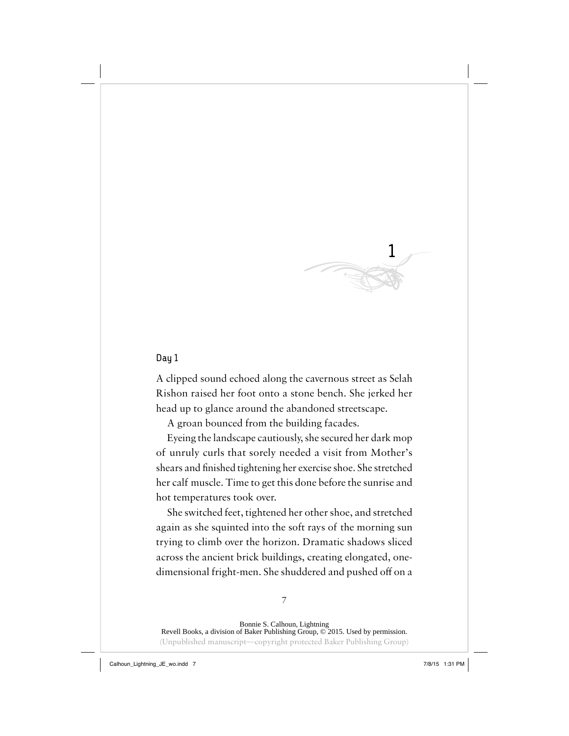

### Day 1

A clipped sound echoed along the cavernous street as Selah Rishon raised her foot onto a stone bench. She jerked her head up to glance around the abandoned streetscape.

A groan bounced from the building facades.

Eyeing the landscape cautiously, she secured her dark mop of unruly curls that sorely needed a visit from Mother's shears and finished tightening her exercise shoe. She stretched her calf muscle. Time to get this done before the sunrise and hot temperatures took over.

She switched feet, tightened her other shoe, and stretched again as she squinted into the soft rays of the morning sun trying to climb over the horizon. Dramatic shadows sliced across the ancient brick buildings, creating elongated, onedimensional fright-men. She shuddered and pushed off on a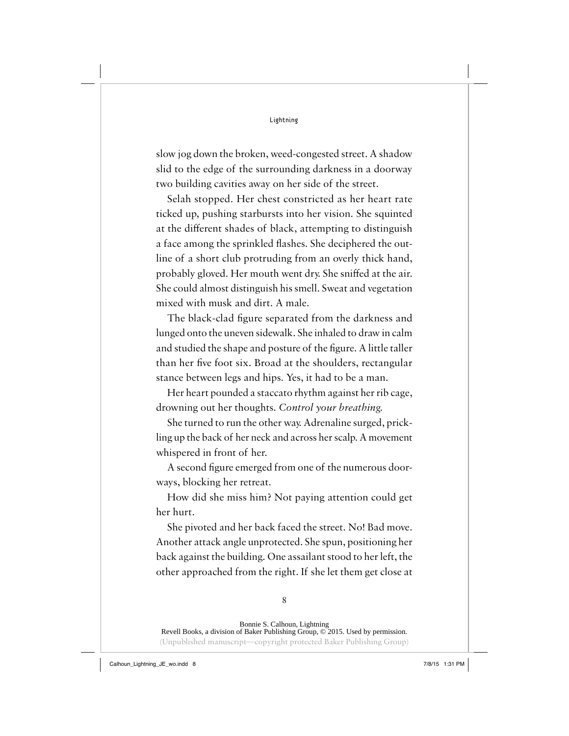slow jog down the broken, weed-congested street. A shadow slid to the edge of the surrounding darkness in a doorway two building cavities away on her side of the street.

Selah stopped. Her chest constricted as her heart rate ticked up, pushing starbursts into her vision. She squinted at the different shades of black, attempting to distinguish a face among the sprinkled flashes. She deciphered the outline of a short club protruding from an overly thick hand, probably gloved. Her mouth went dry. She sniffed at the air. She could almost distinguish his smell. Sweat and vegetation mixed with musk and dirt. A male.

The black-clad figure separated from the darkness and lunged onto the uneven sidewalk. She inhaled to draw in calm and studied the shape and posture of the figure. A little taller than her five foot six. Broad at the shoulders, rectangular stance between legs and hips. Yes, it had to be a man.

Her heart pounded a staccato rhythm against her rib cage, drowning out her thoughts. *Control your breathing.*

She turned to run the other way. Adrenaline surged, prickling up the back of her neck and across her scalp. A movement whispered in front of her.

A second figure emerged from one of the numerous doorways, blocking her retreat.

How did she miss him? Not paying attention could get her hurt.

She pivoted and her back faced the street. No! Bad move. Another attack angle unprotected. She spun, positioning her back against the building. One assailant stood to her left, the other approached from the right. If she let them get close at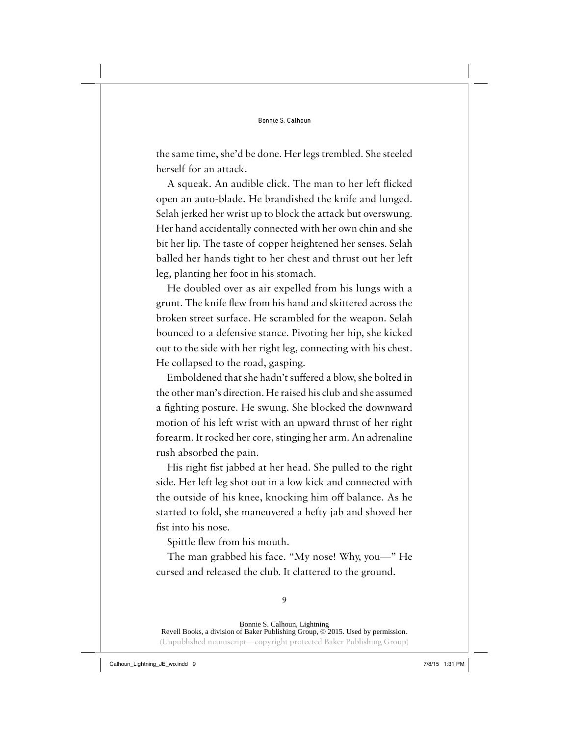the same time, she'd be done. Her legs trembled. She steeled herself for an attack.

A squeak. An audible click. The man to her left flicked open an auto-blade. He brandished the knife and lunged. Selah jerked her wrist up to block the attack but overswung. Her hand accidentally connected with her own chin and she bit her lip. The taste of copper heightened her senses. Selah balled her hands tight to her chest and thrust out her left leg, planting her foot in his stomach.

He doubled over as air expelled from his lungs with a grunt. The knife flew from his hand and skittered across the broken street surface. He scrambled for the weapon. Selah bounced to a defensive stance. Pivoting her hip, she kicked out to the side with her right leg, connecting with his chest. He collapsed to the road, gasping.

Emboldened that she hadn't suffered a blow, she bolted in the other man's direction. He raised his club and she assumed a fighting posture. He swung. She blocked the downward motion of his left wrist with an upward thrust of her right forearm. It rocked her core, stinging her arm. An adrenaline rush absorbed the pain.

His right fist jabbed at her head. She pulled to the right side. Her left leg shot out in a low kick and connected with the outside of his knee, knocking him off balance. As he started to fold, she maneuvered a hefty jab and shoved her fist into his nose.

Spittle flew from his mouth.

The man grabbed his face. "My nose! Why, you—" He cursed and released the club. It clattered to the ground.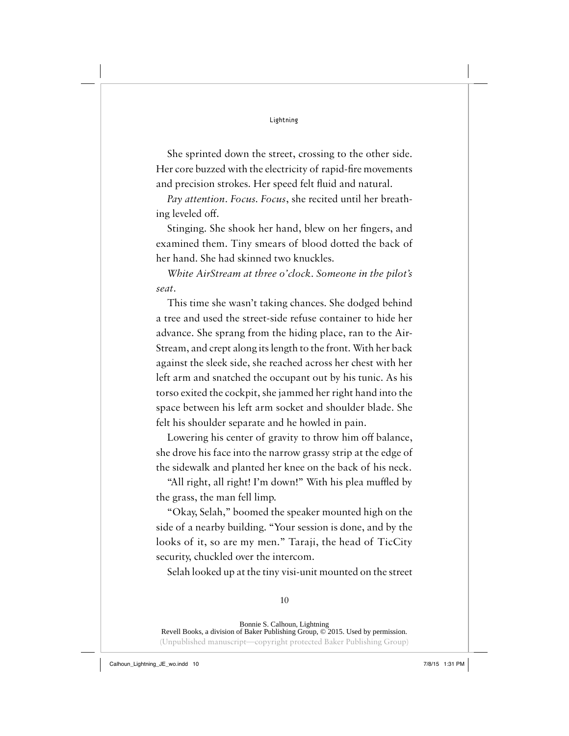#### Lightning

She sprinted down the street, crossing to the other side. Her core buzzed with the electricity of rapid-fire movements and precision strokes. Her speed felt fluid and natural.

*Pay attention. Focus. Focus*, she recited until her breathing leveled off.

Stinging. She shook her hand, blew on her fingers, and examined them. Tiny smears of blood dotted the back of her hand. She had skinned two knuckles.

*White AirStream at three o'clock. Someone in the pilot's seat.*

This time she wasn't taking chances. She dodged behind a tree and used the street-side refuse container to hide her advance. She sprang from the hiding place, ran to the Air-Stream, and crept along its length to the front. With her back against the sleek side, she reached across her chest with her left arm and snatched the occupant out by his tunic. As his torso exited the cockpit, she jammed her right hand into the space between his left arm socket and shoulder blade. She felt his shoulder separate and he howled in pain.

Lowering his center of gravity to throw him off balance, she drove his face into the narrow grassy strip at the edge of the sidewalk and planted her knee on the back of his neck.

"All right, all right! I'm down!" With his plea muffled by the grass, the man fell limp.

"Okay, Selah," boomed the speaker mounted high on the side of a nearby building. "Your session is done, and by the looks of it, so are my men." Taraji, the head of TicCity security, chuckled over the intercom.

Selah looked up at the tiny visi-unit mounted on the street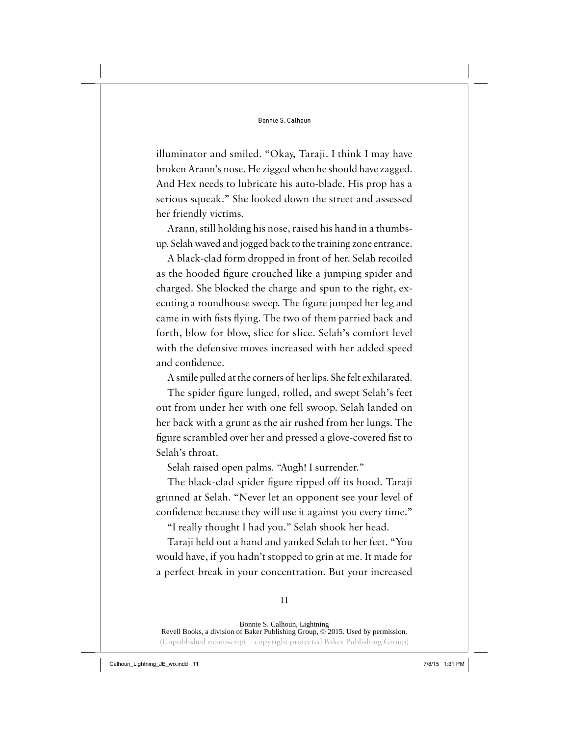illuminator and smiled. "Okay, Taraji. I think I may have broken Arann's nose. He zigged when he should have zagged. And Hex needs to lubricate his auto-blade. His prop has a serious squeak." She looked down the street and assessed her friendly victims.

Arann, still holding his nose, raised his hand in a thumbsup. Selah waved and jogged back to the training zone entrance.

A black-clad form dropped in front of her. Selah recoiled as the hooded figure crouched like a jumping spider and charged. She blocked the charge and spun to the right, executing a roundhouse sweep. The figure jumped her leg and came in with fists flying. The two of them parried back and forth, blow for blow, slice for slice. Selah's comfort level with the defensive moves increased with her added speed and confidence.

A smile pulled at the corners of her lips. She felt exhilarated.

The spider figure lunged, rolled, and swept Selah's feet out from under her with one fell swoop. Selah landed on her back with a grunt as the air rushed from her lungs. The figure scrambled over her and pressed a glove-covered fist to Selah's throat.

Selah raised open palms. "Augh! I surrender."

The black-clad spider figure ripped off its hood. Taraji grinned at Selah. "Never let an opponent see your level of confidence because they will use it against you every time."

"I really thought I had you." Selah shook her head.

Taraji held out a hand and yanked Selah to her feet. "You would have, if you hadn't stopped to grin at me. It made for a perfect break in your concentration. But your increased

(Unpublished manuscript—copyright protected Baker Publishing Group)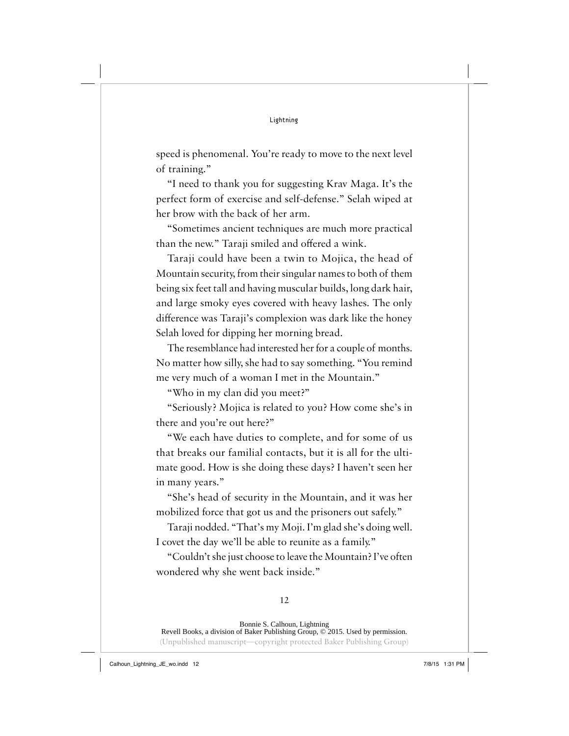#### Lightning

speed is phenomenal. You're ready to move to the next level of training."

"I need to thank you for suggesting Krav Maga. It's the perfect form of exercise and self-defense." Selah wiped at her brow with the back of her arm.

"Sometimes ancient techniques are much more practical than the new." Taraji smiled and offered a wink.

Taraji could have been a twin to Mojica, the head of Mountain security, from their singular names to both of them being six feet tall and having muscular builds, long dark hair, and large smoky eyes covered with heavy lashes. The only difference was Taraji's complexion was dark like the honey Selah loved for dipping her morning bread.

The resemblance had interested her for a couple of months. No matter how silly, she had to say something. "You remind me very much of a woman I met in the Mountain."

"Who in my clan did you meet?"

"Seriously? Mojica is related to you? How come she's in there and you're out here?"

"We each have duties to complete, and for some of us that breaks our familial contacts, but it is all for the ultimate good. How is she doing these days? I haven't seen her in many years."

"She's head of security in the Mountain, and it was her mobilized force that got us and the prisoners out safely."

Taraji nodded. "That's my Moji. I'm glad she's doing well. I covet the day we'll be able to reunite as a family."

"Couldn't she just choose to leave the Mountain? I've often wondered why she went back inside."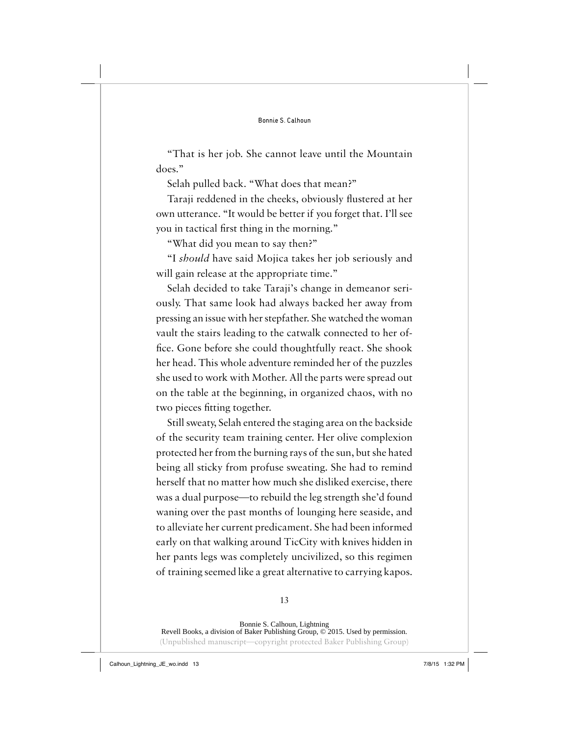"That is her job. She cannot leave until the Mountain does"

Selah pulled back. "What does that mean?"

Taraji reddened in the cheeks, obviously flustered at her own utterance. "It would be better if you forget that. I'll see you in tactical first thing in the morning."

"What did you mean to say then?"

"I *should* have said Mojica takes her job seriously and will gain release at the appropriate time."

Selah decided to take Taraji's change in demeanor seriously. That same look had always backed her away from pressing an issue with her stepfather. She watched the woman vault the stairs leading to the catwalk connected to her office. Gone before she could thoughtfully react. She shook her head. This whole adventure reminded her of the puzzles she used to work with Mother. All the parts were spread out on the table at the beginning, in organized chaos, with no two pieces fitting together.

Still sweaty, Selah entered the staging area on the backside of the security team training center. Her olive complexion protected her from the burning rays of the sun, but she hated being all sticky from profuse sweating. She had to remind herself that no matter how much she disliked exercise, there was a dual purpose—to rebuild the leg strength she'd found waning over the past months of lounging here seaside, and to alleviate her current predicament. She had been informed early on that walking around TicCity with knives hidden in her pants legs was completely uncivilized, so this regimen of training seemed like a great alternative to carrying kapos.

(Unpublished manuscript—copyright protected Baker Publishing Group) Bonnie S. Calhoun, Lightning Revell Books, a division of Baker Publishing Group, © 2015. Used by permission.